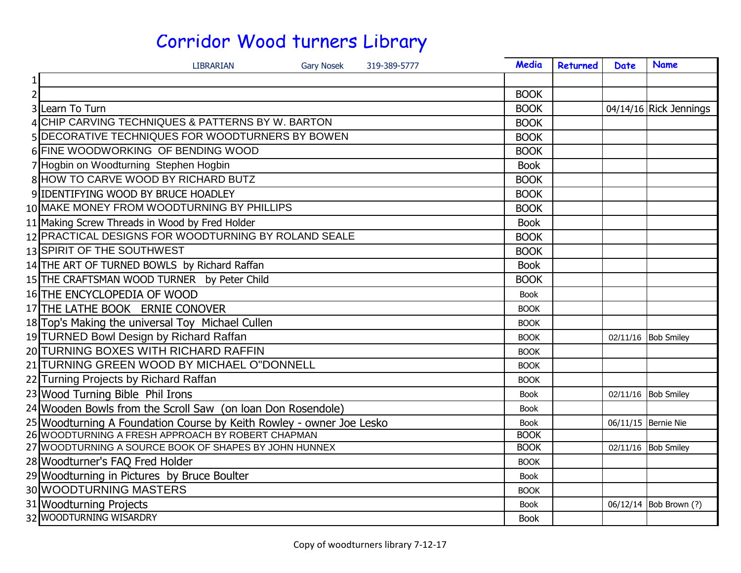|                | <b>Gary Nosek</b><br><b>LIBRARIAN</b><br>319-389-5777                | Media       | Returned | Date | <b>Name</b>            |
|----------------|----------------------------------------------------------------------|-------------|----------|------|------------------------|
|                |                                                                      |             |          |      |                        |
| $\overline{2}$ |                                                                      | <b>BOOK</b> |          |      |                        |
|                | 3 Learn To Turn                                                      | <b>BOOK</b> |          |      | 04/14/16 Rick Jennings |
|                | 4 CHIP CARVING TECHNIQUES & PATTERNS BY W. BARTON                    | <b>BOOK</b> |          |      |                        |
|                | 5 DECORATIVE TECHNIQUES FOR WOODTURNERS BY BOWEN                     | <b>BOOK</b> |          |      |                        |
|                | 6 FINE WOODWORKING OF BENDING WOOD                                   | <b>BOOK</b> |          |      |                        |
|                | 7 Hogbin on Woodturning Stephen Hogbin                               | <b>Book</b> |          |      |                        |
|                | 8 HOW TO CARVE WOOD BY RICHARD BUTZ                                  | <b>BOOK</b> |          |      |                        |
|                | 9 IDENTIFYING WOOD BY BRUCE HOADLEY                                  | <b>BOOK</b> |          |      |                        |
|                | 10 MAKE MONEY FROM WOODTURNING BY PHILLIPS                           | <b>BOOK</b> |          |      |                        |
|                | 11 Making Screw Threads in Wood by Fred Holder                       | <b>Book</b> |          |      |                        |
|                | 12 PRACTICAL DESIGNS FOR WOODTURNING BY ROLAND SEALE                 | <b>BOOK</b> |          |      |                        |
|                | 13 SPIRIT OF THE SOUTHWEST                                           | <b>BOOK</b> |          |      |                        |
|                | 14 THE ART OF TURNED BOWLS by Richard Raffan                         | <b>Book</b> |          |      |                        |
|                | 15 THE CRAFTSMAN WOOD TURNER by Peter Child                          | <b>BOOK</b> |          |      |                        |
|                | 16 THE ENCYCLOPEDIA OF WOOD                                          | <b>Book</b> |          |      |                        |
|                | 17 THE LATHE BOOK ERNIE CONOVER                                      | <b>BOOK</b> |          |      |                        |
|                | 18 Top's Making the universal Toy Michael Cullen                     | <b>BOOK</b> |          |      |                        |
|                | 19 TURNED Bowl Design by Richard Raffan                              | <b>BOOK</b> |          |      | 02/11/16 Bob Smiley    |
|                | 20 TURNING BOXES WITH RICHARD RAFFIN                                 | <b>BOOK</b> |          |      |                        |
|                | 21 TURNING GREEN WOOD BY MICHAEL O"DONNELL                           | <b>BOOK</b> |          |      |                        |
|                | 22 Turning Projects by Richard Raffan                                | <b>BOOK</b> |          |      |                        |
|                | 23 Wood Turning Bible Phil Irons                                     | <b>Book</b> |          |      | 02/11/16 Bob Smiley    |
|                | 24 Wooden Bowls from the Scroll Saw (on loan Don Rosendole)          | <b>Book</b> |          |      |                        |
|                | 25 Woodturning A Foundation Course by Keith Rowley - owner Joe Lesko | <b>Book</b> |          |      | 06/11/15 Bernie Nie    |
|                | 26 WOODTURNING A FRESH APPROACH BY ROBERT CHAPMAN                    | <b>BOOK</b> |          |      |                        |
|                | 27 WOODTURNING A SOURCE BOOK OF SHAPES BY JOHN HUNNEX                | <b>BOOK</b> |          |      | 02/11/16 Bob Smiley    |
|                | 28 Woodturner's FAQ Fred Holder                                      | <b>BOOK</b> |          |      |                        |
|                | 29 Woodturning in Pictures by Bruce Boulter                          | <b>Book</b> |          |      |                        |
|                | 30 WOODTURNING MASTERS                                               | <b>BOOK</b> |          |      |                        |
|                | 31 Woodturning Projects                                              | <b>Book</b> |          |      | 06/12/14 Bob Brown (?) |
|                | 32 WOODTURNING WISARDRY                                              | <b>Book</b> |          |      |                        |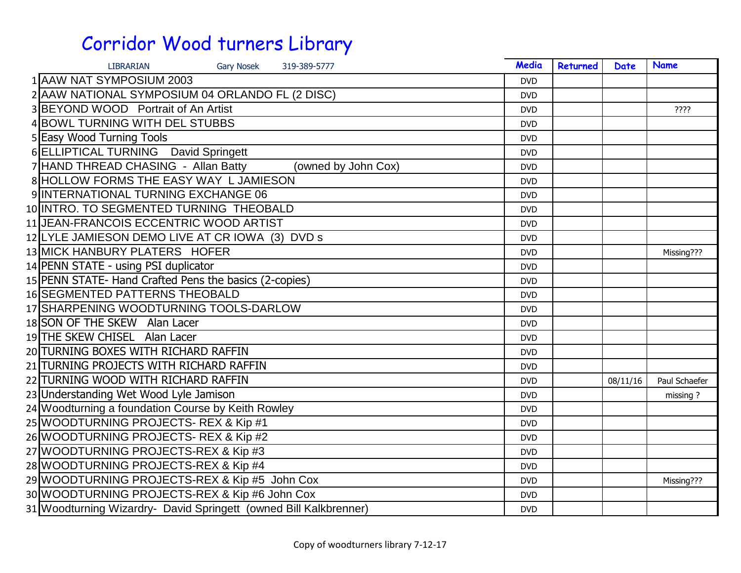| <b>LIBRARIAN</b><br><b>Gary Nosek</b><br>319-389-5777             | Media      | Returned | <b>Date</b> | <b>Name</b>   |
|-------------------------------------------------------------------|------------|----------|-------------|---------------|
| 1 AAW NAT SYMPOSIUM 2003                                          | <b>DVD</b> |          |             |               |
| 2 AAW NATIONAL SYMPOSIUM 04 ORLANDO FL (2 DISC)                   | <b>DVD</b> |          |             |               |
| 3 BEYOND WOOD Portrait of An Artist                               | <b>DVD</b> |          |             | ????          |
| 4 BOWL TURNING WITH DEL STUBBS                                    | <b>DVD</b> |          |             |               |
| 5 Easy Wood Turning Tools                                         | <b>DVD</b> |          |             |               |
| 6 ELLIPTICAL TURNING David Springett                              | <b>DVD</b> |          |             |               |
| 7 HAND THREAD CHASING - Allan Batty<br>(owned by John Cox)        | <b>DVD</b> |          |             |               |
| 8 HOLLOW FORMS THE EASY WAY L JAMIESON                            | <b>DVD</b> |          |             |               |
| 9 INTERNATIONAL TURNING EXCHANGE 06                               | <b>DVD</b> |          |             |               |
| 10 INTRO. TO SEGMENTED TURNING THEOBALD                           | <b>DVD</b> |          |             |               |
| 11 JEAN-FRANCOIS ECCENTRIC WOOD ARTIST                            | <b>DVD</b> |          |             |               |
| 12 LYLE JAMIESON DEMO LIVE AT CR IOWA (3) DVD s                   | <b>DVD</b> |          |             |               |
| 13 MICK HANBURY PLATERS HOFER                                     | <b>DVD</b> |          |             | Missing???    |
| 14 PENN STATE - using PSI duplicator                              | <b>DVD</b> |          |             |               |
| 15 PENN STATE- Hand Crafted Pens the basics (2-copies)            | <b>DVD</b> |          |             |               |
| <b>16 SEGMENTED PATTERNS THEOBALD</b>                             | <b>DVD</b> |          |             |               |
| 17 SHARPENING WOODTURNING TOOLS-DARLOW                            | <b>DVD</b> |          |             |               |
| 18 SON OF THE SKEW Alan Lacer                                     | <b>DVD</b> |          |             |               |
| 19 THE SKEW CHISEL Alan Lacer                                     | <b>DVD</b> |          |             |               |
| 20 TURNING BOXES WITH RICHARD RAFFIN                              | <b>DVD</b> |          |             |               |
| 21 TURNING PROJECTS WITH RICHARD RAFFIN                           | <b>DVD</b> |          |             |               |
| 22 TURNING WOOD WITH RICHARD RAFFIN                               | <b>DVD</b> |          | 08/11/16    | Paul Schaefer |
| 23 Understanding Wet Wood Lyle Jamison                            | <b>DVD</b> |          |             | missing?      |
| 24 Woodturning a foundation Course by Keith Rowley                | <b>DVD</b> |          |             |               |
| 25 WOODTURNING PROJECTS- REX & Kip #1                             | <b>DVD</b> |          |             |               |
| 26 WOODTURNING PROJECTS-REX & Kip #2                              | <b>DVD</b> |          |             |               |
| 27 WOODTURNING PROJECTS-REX & Kip #3                              | <b>DVD</b> |          |             |               |
| 28 WOODTURNING PROJECTS-REX & Kip #4                              | <b>DVD</b> |          |             |               |
| 29 WOODTURNING PROJECTS-REX & Kip #5 John Cox                     | <b>DVD</b> |          |             | Missing???    |
| 30 WOODTURNING PROJECTS-REX & Kip #6 John Cox                     | <b>DVD</b> |          |             |               |
| 31 Woodturning Wizardry- David Springett (owned Bill Kalkbrenner) | <b>DVD</b> |          |             |               |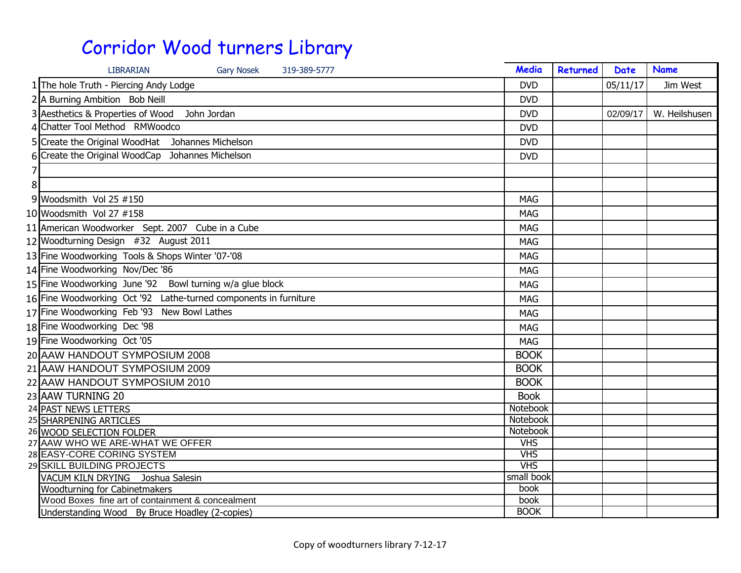| <b>LIBRARIAN</b><br><b>Gary Nosek</b><br>319-389-5777            | Media       | Returned | <b>Date</b> | <b>Name</b>   |
|------------------------------------------------------------------|-------------|----------|-------------|---------------|
| 1 The hole Truth - Piercing Andy Lodge                           | <b>DVD</b>  |          | 05/11/17    | Jim West      |
| 2 A Burning Ambition Bob Neill                                   | <b>DVD</b>  |          |             |               |
| 3 Aesthetics & Properties of Wood<br>John Jordan                 | <b>DVD</b>  |          | 02/09/17    | W. Heilshusen |
| 4 Chatter Tool Method RMWoodco                                   | <b>DVD</b>  |          |             |               |
| 5 Create the Original WoodHat Johannes Michelson                 | <b>DVD</b>  |          |             |               |
| Create the Original WoodCap Johannes Michelson                   | <b>DVD</b>  |          |             |               |
|                                                                  |             |          |             |               |
| 8                                                                |             |          |             |               |
| 9 Woodsmith Vol 25 $\#150$                                       | <b>MAG</b>  |          |             |               |
| 10 Woodsmith Vol 27 #158                                         | <b>MAG</b>  |          |             |               |
| 11 American Woodworker Sept. 2007 Cube in a Cube                 | <b>MAG</b>  |          |             |               |
| 12 Woodturning Design #32 August 2011                            | <b>MAG</b>  |          |             |               |
| 13 Fine Woodworking Tools & Shops Winter '07-'08                 | <b>MAG</b>  |          |             |               |
| 14 Fine Woodworking Nov/Dec '86                                  | <b>MAG</b>  |          |             |               |
| 15 Fine Woodworking June '92 Bowl turning w/a glue block         | <b>MAG</b>  |          |             |               |
| 16 Fine Woodworking Oct '92 Lathe-turned components in furniture | <b>MAG</b>  |          |             |               |
| 17 Fine Woodworking Feb '93 New Bowl Lathes                      | <b>MAG</b>  |          |             |               |
| 18 Fine Woodworking Dec '98                                      |             |          |             |               |
|                                                                  | <b>MAG</b>  |          |             |               |
| 19 Fine Woodworking Oct '05                                      | <b>MAG</b>  |          |             |               |
| 20 AAW HANDOUT SYMPOSIUM 2008                                    | <b>BOOK</b> |          |             |               |
| 21 AAW HANDOUT SYMPOSIUM 2009                                    | <b>BOOK</b> |          |             |               |
| 22 AAW HANDOUT SYMPOSIUM 2010                                    | <b>BOOK</b> |          |             |               |
| 23 AAW TURNING 20                                                | <b>Book</b> |          |             |               |
| 24 PAST NEWS LETTERS                                             | Notebook    |          |             |               |
| 25 SHARPENING ARTICLES                                           | Notebook    |          |             |               |
| 26 WOOD SELECTION FOLDER                                         | Notebook    |          |             |               |
| 27 AAW WHO WE ARE-WHAT WE OFFER                                  | <b>VHS</b>  |          |             |               |
| 28 EASY-CORE CORING SYSTEM                                       | <b>VHS</b>  |          |             |               |
| 29 SKILL BUILDING PROJECTS                                       | <b>VHS</b>  |          |             |               |
| VACUM KILN DRYING Joshua Salesin                                 | small book  |          |             |               |
| <b>Woodturning for Cabinetmakers</b>                             | book        |          |             |               |
| Wood Boxes fine art of containment & concealment                 | book        |          |             |               |
| Understanding Wood By Bruce Hoadley (2-copies)                   | <b>BOOK</b> |          |             |               |